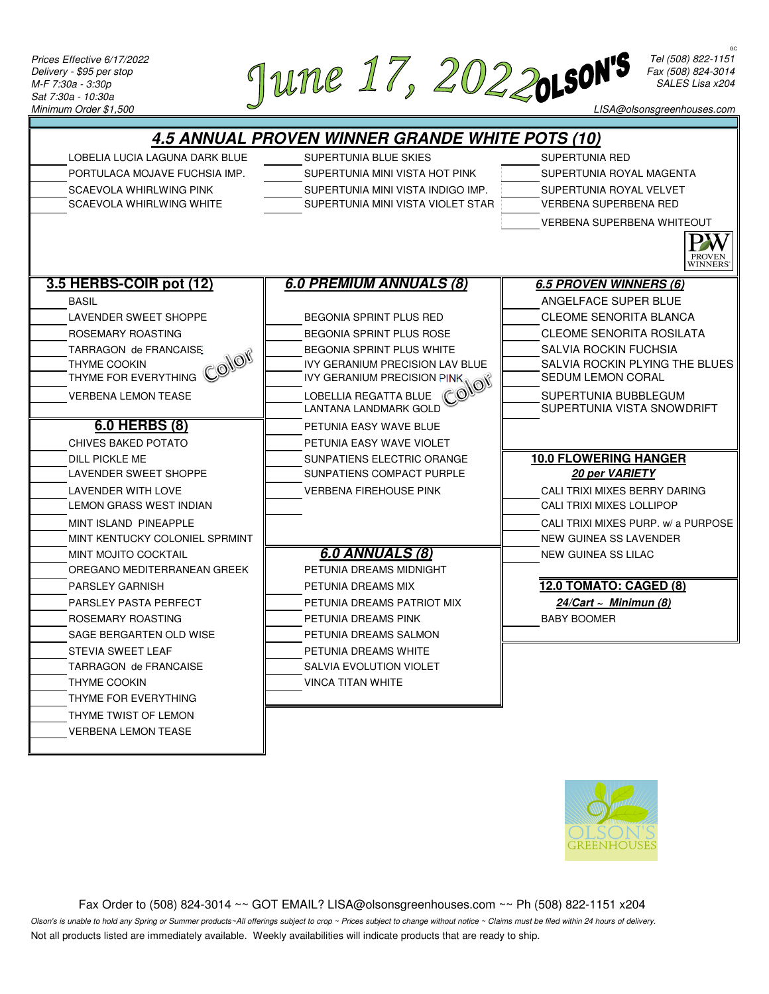

*Tel (508) 822-1151 Fax (508) 824-3014 SALES Lisa x204*

GC

*LISA@olsonsgreenhouses.com*





 Fax Order to (508) 824-3014 ~~ GOT EMAIL? LISA@olsonsgreenhouses.com ~~ Ph (508) 822-1151 x204 *Olson's is unable to hold any Spring or Summer products~All offerings subject to crop ~ Prices subject to change without notice ~ Claims must be filed within 24 hours of delivery.* Not all products listed are immediately available. Weekly availabilities will indicate products that are ready to ship.